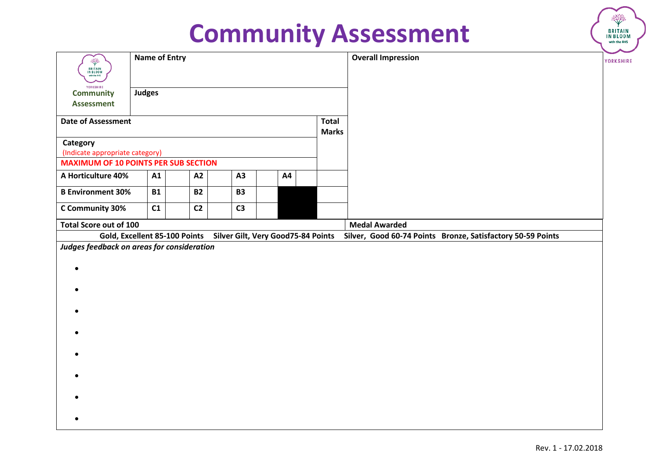| Ŷ<br><b>BRITAIN</b><br>IN BLOOM<br>with the RHS | <b>Name of Entry</b> |           |                               |                |                                    |                              | <b>Overall Impression</b>                                   | YORKSHIRE |
|-------------------------------------------------|----------------------|-----------|-------------------------------|----------------|------------------------------------|------------------------------|-------------------------------------------------------------|-----------|
| YORKSHIRE<br><b>Community</b>                   | <b>Judges</b>        |           |                               |                |                                    |                              |                                                             |           |
| <b>Assessment</b>                               |                      |           |                               |                |                                    |                              |                                                             |           |
| <b>Date of Assessment</b>                       |                      |           |                               |                |                                    | <b>Total</b><br><b>Marks</b> |                                                             |           |
| Category                                        |                      |           |                               |                |                                    |                              |                                                             |           |
| (Indicate appropriate category)                 |                      |           |                               |                |                                    |                              |                                                             |           |
| <b>MAXIMUM OF 10 POINTS PER SUB SECTION</b>     |                      |           |                               |                |                                    |                              |                                                             |           |
| A Horticulture 40%                              |                      | A1        | A2                            | A3             | A4                                 |                              |                                                             |           |
| <b>B Environment 30%</b>                        |                      | <b>B1</b> | <b>B2</b>                     | <b>B3</b>      |                                    |                              |                                                             |           |
| C Community 30%                                 |                      | C1        | C <sub>2</sub>                | C <sub>3</sub> |                                    |                              |                                                             |           |
| <b>Total Score out of 100</b>                   |                      |           |                               |                |                                    |                              | <b>Medal Awarded</b>                                        |           |
|                                                 |                      |           | Gold, Excellent 85-100 Points |                | Silver Gilt, Very Good75-84 Points |                              | Silver, Good 60-74 Points Bronze, Satisfactory 50-59 Points |           |
| Judges feedback on areas for consideration      |                      |           |                               |                |                                    |                              |                                                             |           |
|                                                 |                      |           |                               |                |                                    |                              |                                                             |           |
|                                                 |                      |           |                               |                |                                    |                              |                                                             |           |
|                                                 |                      |           |                               |                |                                    |                              |                                                             |           |
|                                                 |                      |           |                               |                |                                    |                              |                                                             |           |
|                                                 |                      |           |                               |                |                                    |                              |                                                             |           |
|                                                 |                      |           |                               |                |                                    |                              |                                                             |           |
|                                                 |                      |           |                               |                |                                    |                              |                                                             |           |
|                                                 |                      |           |                               |                |                                    |                              |                                                             |           |
|                                                 |                      |           |                               |                |                                    |                              |                                                             |           |
|                                                 |                      |           |                               |                |                                    |                              |                                                             |           |
|                                                 |                      |           |                               |                |                                    |                              |                                                             |           |
|                                                 |                      |           |                               |                |                                    |                              |                                                             |           |
|                                                 |                      |           |                               |                |                                    |                              |                                                             |           |

**BRITAIN**<br>IN BLOOM with the RHS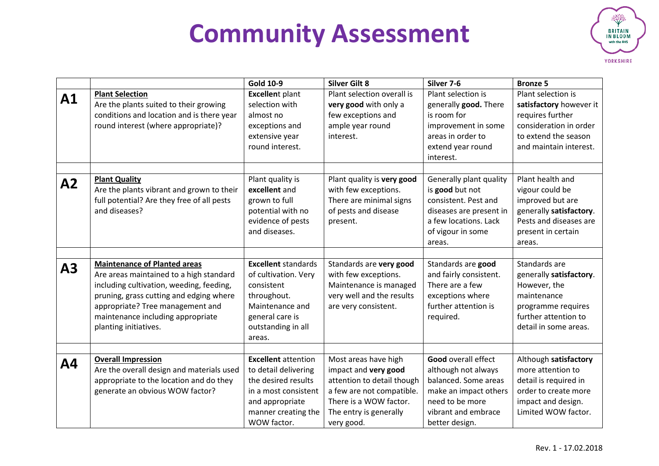

|    |                                                                                                                                                                                                                                                                         | <b>Gold 10-9</b>                                                                                                                                           | <b>Silver Gilt 8</b>                                                                                                                                                      | Silver 7-6                                                                                                                                                     | <b>Bronze 5</b>                                                                                                                                |
|----|-------------------------------------------------------------------------------------------------------------------------------------------------------------------------------------------------------------------------------------------------------------------------|------------------------------------------------------------------------------------------------------------------------------------------------------------|---------------------------------------------------------------------------------------------------------------------------------------------------------------------------|----------------------------------------------------------------------------------------------------------------------------------------------------------------|------------------------------------------------------------------------------------------------------------------------------------------------|
| A1 | <b>Plant Selection</b><br>Are the plants suited to their growing<br>conditions and location and is there year<br>round interest (where appropriate)?                                                                                                                    | <b>Excellent plant</b><br>selection with<br>almost no<br>exceptions and<br>extensive year<br>round interest.                                               | Plant selection overall is<br>very good with only a<br>few exceptions and<br>ample year round<br>interest.                                                                | Plant selection is<br>generally good. There<br>is room for<br>improvement in some<br>areas in order to<br>extend year round<br>interest.                       | Plant selection is<br>satisfactory however it<br>requires further<br>consideration in order<br>to extend the season<br>and maintain interest.  |
| A2 | <b>Plant Quality</b><br>Are the plants vibrant and grown to their<br>full potential? Are they free of all pests<br>and diseases?                                                                                                                                        | Plant quality is<br>excellent and<br>grown to full<br>potential with no<br>evidence of pests<br>and diseases.                                              | Plant quality is very good<br>with few exceptions.<br>There are minimal signs<br>of pests and disease<br>present.                                                         | Generally plant quality<br>is good but not<br>consistent. Pest and<br>diseases are present in<br>a few locations. Lack<br>of vigour in some<br>areas.          | Plant health and<br>vigour could be<br>improved but are<br>generally satisfactory.<br>Pests and diseases are<br>present in certain<br>areas.   |
| A3 | <b>Maintenance of Planted areas</b><br>Are areas maintained to a high standard<br>including cultivation, weeding, feeding,<br>pruning, grass cutting and edging where<br>appropriate? Tree management and<br>maintenance including appropriate<br>planting initiatives. | <b>Excellent standards</b><br>of cultivation. Very<br>consistent<br>throughout.<br>Maintenance and<br>general care is<br>outstanding in all<br>areas.      | Standards are very good<br>with few exceptions.<br>Maintenance is managed<br>very well and the results<br>are very consistent.                                            | Standards are good<br>and fairly consistent.<br>There are a few<br>exceptions where<br>further attention is<br>required.                                       | Standards are<br>generally satisfactory.<br>However, the<br>maintenance<br>programme requires<br>further attention to<br>detail in some areas. |
| Α4 | <b>Overall Impression</b><br>Are the overall design and materials used<br>appropriate to the location and do they<br>generate an obvious WOW factor?                                                                                                                    | <b>Excellent</b> attention<br>to detail delivering<br>the desired results<br>in a most consistent<br>and appropriate<br>manner creating the<br>WOW factor. | Most areas have high<br>impact and very good<br>attention to detail though<br>a few are not compatible.<br>There is a WOW factor.<br>The entry is generally<br>very good. | <b>Good overall effect</b><br>although not always<br>balanced. Some areas<br>make an impact others<br>need to be more<br>vibrant and embrace<br>better design. | Although satisfactory<br>more attention to<br>detail is required in<br>order to create more<br>impact and design.<br>Limited WOW factor.       |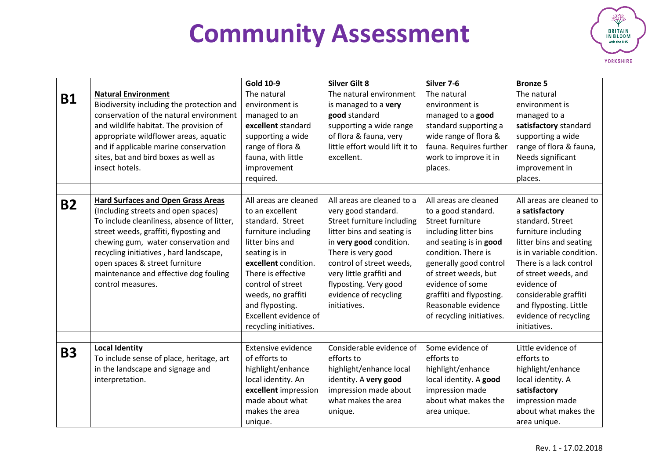

|           |                                                                                                                                                                                                                                                                                                                                                           | <b>Gold 10-9</b>                                                                                                                                                                                                                                                                       | <b>Silver Gilt 8</b>                                                                                                                                                                                                                                                                     | Silver 7-6                                                                                                                                                                                                                                                                                       | <b>Bronze 5</b>                                                                                                                                                                                                                                                                                             |
|-----------|-----------------------------------------------------------------------------------------------------------------------------------------------------------------------------------------------------------------------------------------------------------------------------------------------------------------------------------------------------------|----------------------------------------------------------------------------------------------------------------------------------------------------------------------------------------------------------------------------------------------------------------------------------------|------------------------------------------------------------------------------------------------------------------------------------------------------------------------------------------------------------------------------------------------------------------------------------------|--------------------------------------------------------------------------------------------------------------------------------------------------------------------------------------------------------------------------------------------------------------------------------------------------|-------------------------------------------------------------------------------------------------------------------------------------------------------------------------------------------------------------------------------------------------------------------------------------------------------------|
| <b>B1</b> | <b>Natural Environment</b><br>Biodiversity including the protection and<br>conservation of the natural environment<br>and wildlife habitat. The provision of<br>appropriate wildflower areas, aquatic                                                                                                                                                     | The natural<br>environment is<br>managed to an<br>excellent standard<br>supporting a wide                                                                                                                                                                                              | The natural environment<br>is managed to a very<br>good standard<br>supporting a wide range<br>of flora & fauna, very                                                                                                                                                                    | The natural<br>environment is<br>managed to a good<br>standard supporting a<br>wide range of flora &                                                                                                                                                                                             | The natural<br>environment is<br>managed to a<br>satisfactory standard<br>supporting a wide                                                                                                                                                                                                                 |
|           | and if applicable marine conservation<br>sites, bat and bird boxes as well as<br>insect hotels.                                                                                                                                                                                                                                                           | range of flora &<br>fauna, with little<br>improvement<br>required.                                                                                                                                                                                                                     | little effort would lift it to<br>excellent.                                                                                                                                                                                                                                             | fauna. Requires further<br>work to improve it in<br>places.                                                                                                                                                                                                                                      | range of flora & fauna,<br>Needs significant<br>improvement in<br>places.                                                                                                                                                                                                                                   |
| <b>B2</b> | <b>Hard Surfaces and Open Grass Areas</b><br>(Including streets and open spaces)<br>To include cleanliness, absence of litter,<br>street weeds, graffiti, flyposting and<br>chewing gum, water conservation and<br>recycling initiatives, hard landscape,<br>open spaces & street furniture<br>maintenance and effective dog fouling<br>control measures. | All areas are cleaned<br>to an excellent<br>standard. Street<br>furniture including<br>litter bins and<br>seating is in<br>excellent condition.<br>There is effective<br>control of street<br>weeds, no graffiti<br>and flyposting.<br>Excellent evidence of<br>recycling initiatives. | All areas are cleaned to a<br>very good standard.<br>Street furniture including<br>litter bins and seating is<br>in very good condition.<br>There is very good<br>control of street weeds,<br>very little graffiti and<br>flyposting. Very good<br>evidence of recycling<br>initiatives. | All areas are cleaned<br>to a good standard.<br>Street furniture<br>including litter bins<br>and seating is in good<br>condition. There is<br>generally good control<br>of street weeds, but<br>evidence of some<br>graffiti and flyposting.<br>Reasonable evidence<br>of recycling initiatives. | All areas are cleaned to<br>a satisfactory<br>standard. Street<br>furniture including<br>litter bins and seating<br>is in variable condition.<br>There is a lack control<br>of street weeds, and<br>evidence of<br>considerable graffiti<br>and flyposting. Little<br>evidence of recycling<br>initiatives. |
| <b>B3</b> | <b>Local Identity</b><br>To include sense of place, heritage, art<br>in the landscape and signage and<br>interpretation.                                                                                                                                                                                                                                  | Extensive evidence<br>of efforts to<br>highlight/enhance<br>local identity. An<br>excellent impression<br>made about what<br>makes the area<br>unique.                                                                                                                                 | Considerable evidence of<br>efforts to<br>highlight/enhance local<br>identity. A very good<br>impression made about<br>what makes the area<br>unique.                                                                                                                                    | Some evidence of<br>efforts to<br>highlight/enhance<br>local identity. A good<br>impression made<br>about what makes the<br>area unique.                                                                                                                                                         | Little evidence of<br>efforts to<br>highlight/enhance<br>local identity. A<br>satisfactory<br>impression made<br>about what makes the<br>area unique.                                                                                                                                                       |